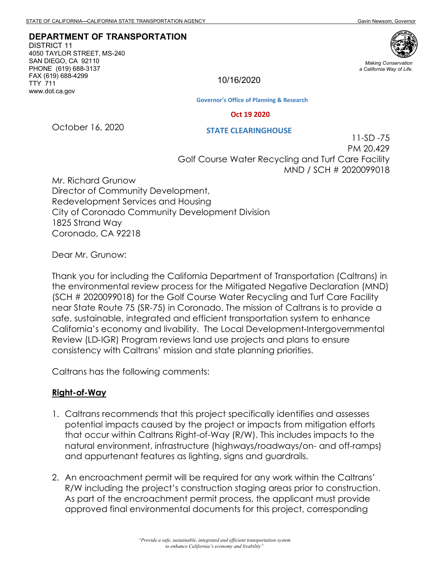**DEPARTMENT OF TRANSPORTATION**

DISTRICT 11 4050 TAYLOR STREET, MS-240 SAN DIEGO, CA 92110 PHONE (619) 688-3137 FAX (619) 688-4299 TTY 711 www.dot.ca.gov



*Making Conservation a California Way of Life.*

10/16/2020

**Governor's Office of Planning & Research**

#### **Oct 19 2020**

**STATE CLEARINGHOUSE**

October 16, 2020

11-SD -75 PM 20.429 Golf Course Water Recycling and Turf Care Facility MND / SCH # 2020099018

Mr. Richard Grunow Director of Community Development, Redevelopment Services and Housing City of Coronado Community Development Division 1825 Strand Way Coronado, CA 92218

Dear Mr. Grunow:

Thank you for including the California Department of Transportation (Caltrans) in the environmental review process for the Mitigated Negative Declaration (MND) (SCH # 2020099018) for the Golf Course Water Recycling and Turf Care Facility near State Route 75 (SR-75) in Coronado. The mission of Caltrans is to provide a safe, sustainable, integrated and efficient transportation system to enhance California's economy and livability. The Local Development-Intergovernmental Review (LD‐IGR) Program reviews land use projects and plans to ensure consistency with Caltrans' mission and state planning priorities.

Caltrans has the following comments:

#### **Right-of-Way**

- 1. Caltrans recommends that this project specifically identifies and assesses potential impacts caused by the project or impacts from mitigation efforts that occur within Caltrans Right-of-Way (R/W). This includes impacts to the natural environment, infrastructure (highways/roadways/on- and off-ramps) and appurtenant features as lighting, signs and guardrails.
- 2. An encroachment permit will be required for any work within the Caltrans' R/W including the project's construction staging areas prior to construction. As part of the encroachment permit process, the applicant must provide approved final environmental documents for this project, corresponding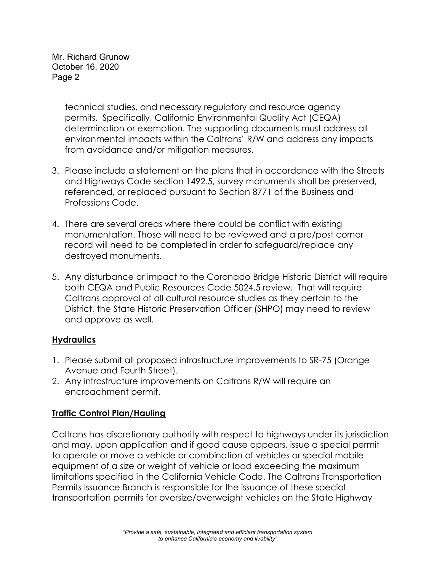Mr. Richard Grunow October 16, 2020 Page 2

> technical studies, and necessary regulatory and resource agency permits. Specifically, California Environmental Quality Act (CEQA) determination or exemption. The supporting documents must address all environmental impacts within the Caltrans' R/W and address any impacts from avoidance and/or mitigation measures.

- 3. Please include a statement on the plans that in accordance with the Streets and Highways Code section 1492.5, survey monuments shall be preserved, referenced, or replaced pursuant to Section 8771 of the Business and Professions Code.
- 4. There are several areas where there could be conflict with existing monumentation. Those will need to be reviewed and a pre/post corner record will need to be completed in order to safeguard/replace any destroyed monuments.
- 5. Any disturbance or impact to the Coronado Bridge Historic District will require both CEQA and Public Resources Code 5024.5 review. That will require Caltrans approval of all cultural resource studies as they pertain to the District, the State Historic Preservation Officer (SHPO) may need to review and approve as well.

## **Hydraulics**

- 1. Please submit all proposed infrastructure improvements to SR-75 (Orange Avenue and Fourth Street).
- 2. Any infrastructure improvements on Caltrans R/W will require an encroachment permit.

# **Traffic Control Plan/Hauling**

Caltrans has discretionary authority with respect to highways under its jurisdiction and may, upon application and if good cause appears, issue a special permit to operate or move a vehicle or combination of vehicles or special mobile equipment of a size or weight of vehicle or load exceeding the maximum limitations specified in the California Vehicle Code. The Caltrans Transportation Permits Issuance Branch is responsible for the issuance of these special transportation permits for oversize/overweight vehicles on the State Highway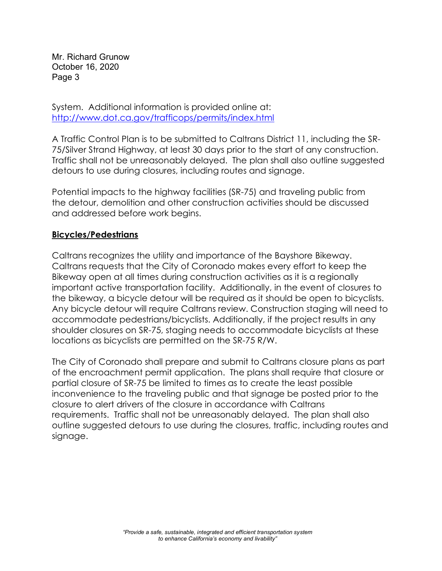Mr. Richard Grunow October 16, 2020 Page 3

System. Additional information is provided online at: <http://www.dot.ca.gov/trafficops/permits/index.html>

A Traffic Control Plan is to be submitted to Caltrans District 11, including the SR-75/Silver Strand Highway, at least 30 days prior to the start of any construction. Traffic shall not be unreasonably delayed. The plan shall also outline suggested detours to use during closures, including routes and signage.

Potential impacts to the highway facilities (SR-75) and traveling public from the detour, demolition and other construction activities should be discussed and addressed before work begins.

## **Bicycles/Pedestrians**

Caltrans recognizes the utility and importance of the Bayshore Bikeway. Caltrans requests that the City of Coronado makes every effort to keep the Bikeway open at all times during construction activities as it is a regionally important active transportation facility. Additionally, in the event of closures to the bikeway, a bicycle detour will be required as it should be open to bicyclists. Any bicycle detour will require Caltrans review. Construction staging will need to accommodate pedestrians/bicyclists. Additionally, if the project results in any shoulder closures on SR-75, staging needs to accommodate bicyclists at these locations as bicyclists are permitted on the SR-75 R/W.

The City of Coronado shall prepare and submit to Caltrans closure plans as part of the encroachment permit application. The plans shall require that closure or partial closure of SR-75 be limited to times as to create the least possible inconvenience to the traveling public and that signage be posted prior to the closure to alert drivers of the closure in accordance with Caltrans requirements. Traffic shall not be unreasonably delayed. The plan shall also outline suggested detours to use during the closures, traffic, including routes and signage.